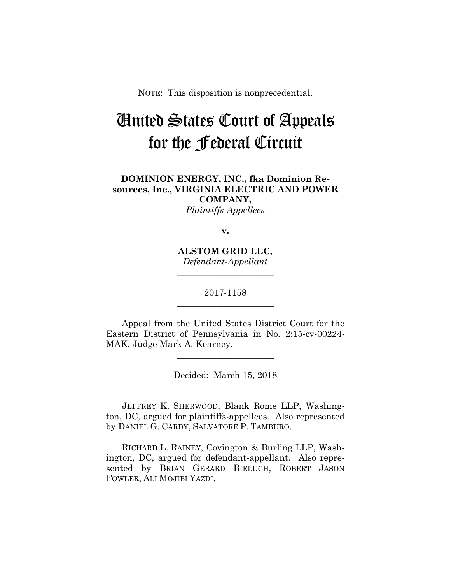NOTE: This disposition is nonprecedential.

# United States Court of Appeals for the Federal Circuit

**\_\_\_\_\_\_\_\_\_\_\_\_\_\_\_\_\_\_\_\_\_\_** 

**DOMINION ENERGY, INC., fka Dominion Resources, Inc., VIRGINIA ELECTRIC AND POWER COMPANY,** *Plaintiffs-Appellees*

**v.**

**ALSTOM GRID LLC,** *Defendant-Appellant*

**\_\_\_\_\_\_\_\_\_\_\_\_\_\_\_\_\_\_\_\_\_\_** 

2017-1158 **\_\_\_\_\_\_\_\_\_\_\_\_\_\_\_\_\_\_\_\_\_\_** 

Appeal from the United States District Court for the Eastern District of Pennsylvania in No. 2:15-cv-00224- MAK, Judge Mark A. Kearney.

**\_\_\_\_\_\_\_\_\_\_\_\_\_\_\_\_\_\_\_\_\_\_** 

Decided: March 15, 2018 **\_\_\_\_\_\_\_\_\_\_\_\_\_\_\_\_\_\_\_\_\_\_** 

 JEFFREY K. SHERWOOD, Blank Rome LLP, Washington, DC, argued for plaintiffs-appellees. Also represented by DANIEL G. CARDY, SALVATORE P. TAMBURO.

 RICHARD L. RAINEY, Covington & Burling LLP, Washington, DC, argued for defendant-appellant. Also represented by BRIAN GERARD BIELUCH, ROBERT JASON FOWLER, ALI MOJIBI YAZDI.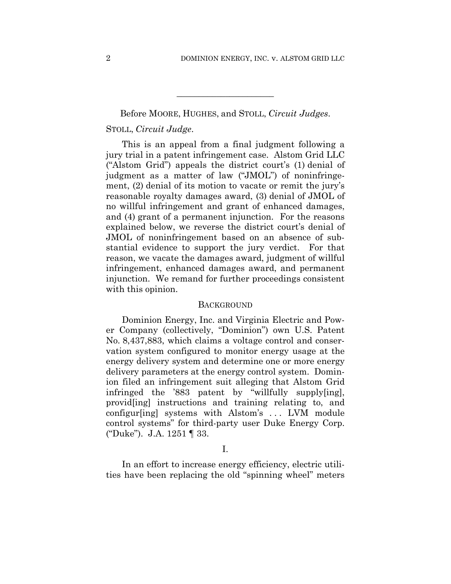# Before MOORE, HUGHES, and STOLL, *Circuit Judges*. STOLL, *Circuit Judge*.

**\_\_\_\_\_\_\_\_\_\_\_\_\_\_\_\_\_\_\_\_\_\_** 

This is an appeal from a final judgment following a jury trial in a patent infringement case. Alstom Grid LLC ("Alstom Grid") appeals the district court's (1) denial of judgment as a matter of law ("JMOL") of noninfringement, (2) denial of its motion to vacate or remit the jury's reasonable royalty damages award, (3) denial of JMOL of no willful infringement and grant of enhanced damages, and (4) grant of a permanent injunction. For the reasons explained below, we reverse the district court's denial of JMOL of noninfringement based on an absence of substantial evidence to support the jury verdict. For that reason, we vacate the damages award, judgment of willful infringement, enhanced damages award, and permanent injunction. We remand for further proceedings consistent with this opinion.

#### **BACKGROUND**

Dominion Energy, Inc. and Virginia Electric and Power Company (collectively, "Dominion") own U.S. Patent No. 8,437,883, which claims a voltage control and conservation system configured to monitor energy usage at the energy delivery system and determine one or more energy delivery parameters at the energy control system. Dominion filed an infringement suit alleging that Alstom Grid infringed the '883 patent by "willfully supply[ing], provid[ing] instructions and training relating to, and configur[ing] systems with Alstom's . . . LVM module control systems" for third-party user Duke Energy Corp. ("Duke"). J.A. 1251 ¶ 33.

I.

In an effort to increase energy efficiency, electric utilities have been replacing the old "spinning wheel" meters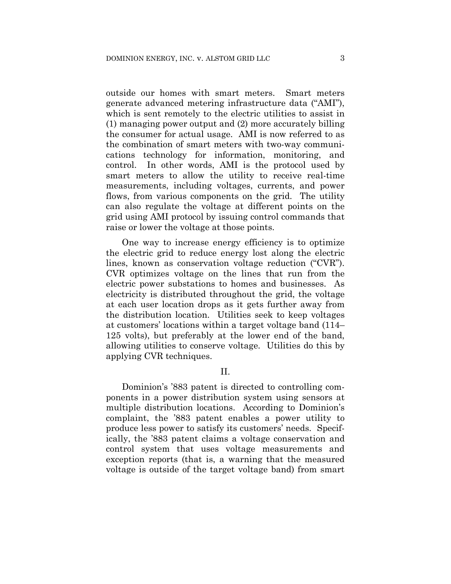outside our homes with smart meters. Smart meters generate advanced metering infrastructure data ("AMI"), which is sent remotely to the electric utilities to assist in (1) managing power output and (2) more accurately billing the consumer for actual usage. AMI is now referred to as the combination of smart meters with two-way communications technology for information, monitoring, and control. In other words, AMI is the protocol used by smart meters to allow the utility to receive real-time measurements, including voltages, currents, and power flows, from various components on the grid. The utility can also regulate the voltage at different points on the grid using AMI protocol by issuing control commands that raise or lower the voltage at those points.

One way to increase energy efficiency is to optimize the electric grid to reduce energy lost along the electric lines, known as conservation voltage reduction ("CVR"). CVR optimizes voltage on the lines that run from the electric power substations to homes and businesses. As electricity is distributed throughout the grid, the voltage at each user location drops as it gets further away from the distribution location. Utilities seek to keep voltages at customers' locations within a target voltage band (114– 125 volts), but preferably at the lower end of the band, allowing utilities to conserve voltage. Utilities do this by applying CVR techniques.

### II.

Dominion's '883 patent is directed to controlling components in a power distribution system using sensors at multiple distribution locations. According to Dominion's complaint, the '883 patent enables a power utility to produce less power to satisfy its customers' needs. Specifically, the '883 patent claims a voltage conservation and control system that uses voltage measurements and exception reports (that is, a warning that the measured voltage is outside of the target voltage band) from smart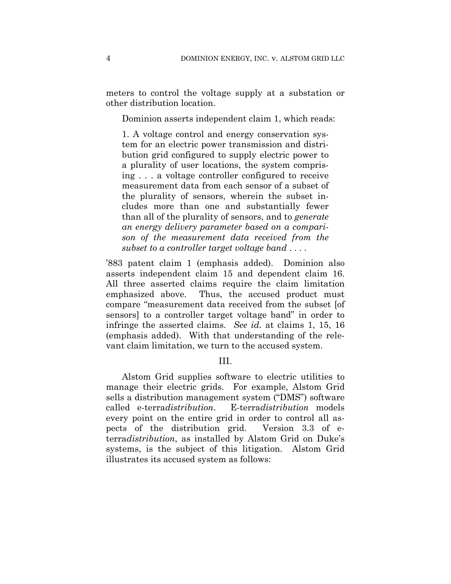meters to control the voltage supply at a substation or other distribution location.

Dominion asserts independent claim 1, which reads:

1. A voltage control and energy conservation system for an electric power transmission and distribution grid configured to supply electric power to a plurality of user locations, the system comprising . . . a voltage controller configured to receive measurement data from each sensor of a subset of the plurality of sensors, wherein the subset includes more than one and substantially fewer than all of the plurality of sensors, and to *generate an energy delivery parameter based on a comparison of the measurement data received from the subset to a controller target voltage band* . . . .

'883 patent claim 1 (emphasis added). Dominion also asserts independent claim 15 and dependent claim 16. All three asserted claims require the claim limitation emphasized above. Thus, the accused product must compare "measurement data received from the subset [of sensors] to a controller target voltage band" in order to infringe the asserted claims. *See id.* at claims 1, 15, 16 (emphasis added). With that understanding of the relevant claim limitation, we turn to the accused system.

III.

Alstom Grid supplies software to electric utilities to manage their electric grids. For example, Alstom Grid sells a distribution management system ("DMS") software called e-terra*distribution*. E-terra*distribution* models every point on the entire grid in order to control all aspects of the distribution grid. Version 3.3 of eterra*distribution*, as installed by Alstom Grid on Duke's systems, is the subject of this litigation. Alstom Grid illustrates its accused system as follows: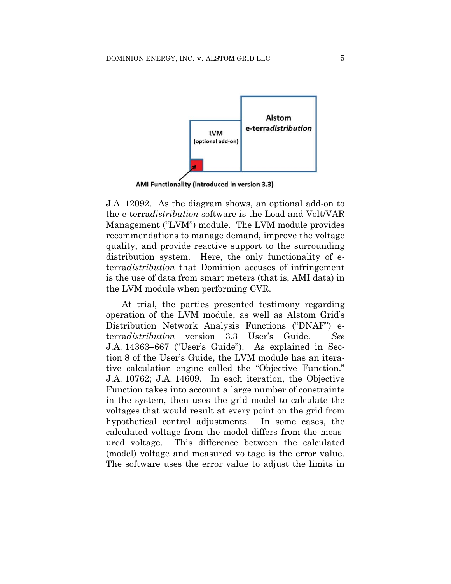

AMI Functionality (introduced in version 3.3)

J.A. 12092. As the diagram shows, an optional add-on to the e-terra*distribution* software is the Load and Volt/VAR Management ("LVM") module. The LVM module provides recommendations to manage demand, improve the voltage quality, and provide reactive support to the surrounding distribution system. Here, the only functionality of eterra*distribution* that Dominion accuses of infringement is the use of data from smart meters (that is, AMI data) in the LVM module when performing CVR.

At trial, the parties presented testimony regarding operation of the LVM module, as well as Alstom Grid's Distribution Network Analysis Functions ("DNAF") eterra*distribution* version 3.3 User's Guide. *See*  J.A. 14363–667 ("User's Guide"). As explained in Section 8 of the User's Guide, the LVM module has an iterative calculation engine called the "Objective Function." J.A. 10762; J.A. 14609. In each iteration, the Objective Function takes into account a large number of constraints in the system, then uses the grid model to calculate the voltages that would result at every point on the grid from hypothetical control adjustments. In some cases, the calculated voltage from the model differs from the measured voltage. This difference between the calculated (model) voltage and measured voltage is the error value. The software uses the error value to adjust the limits in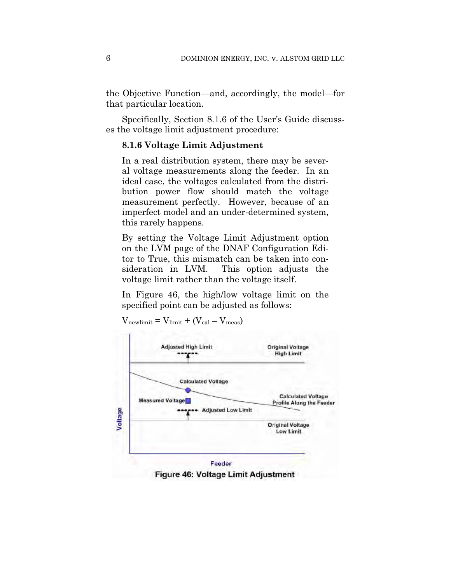the Objective Function—and, accordingly, the model—for that particular location.

Specifically, Section 8.1.6 of the User's Guide discusses the voltage limit adjustment procedure:

# **8.1.6 Voltage Limit Adjustment**

In a real distribution system, there may be several voltage measurements along the feeder. In an ideal case, the voltages calculated from the distribution power flow should match the voltage measurement perfectly. However, because of an imperfect model and an under-determined system, this rarely happens.

By setting the Voltage Limit Adjustment option on the LVM page of the DNAF Configuration Editor to True, this mismatch can be taken into consideration in LVM. This option adjusts the voltage limit rather than the voltage itself.

In Figure 46, the high/low voltage limit on the specified point can be adjusted as follows:



 $V_{\text{newlimit}} = V_{\text{limit}} + (V_{\text{cal}} - V_{\text{meas}})$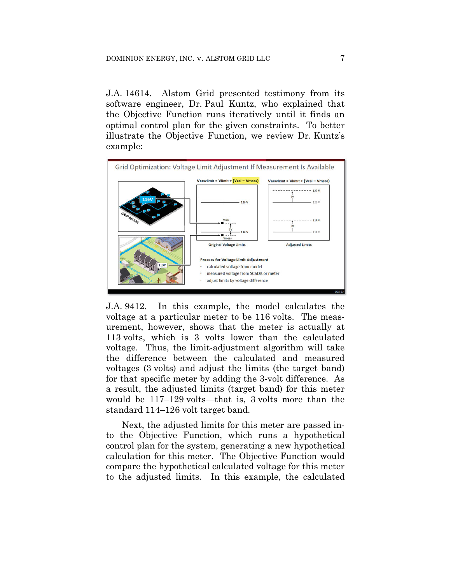J.A. 14614. Alstom Grid presented testimony from its software engineer, Dr. Paul Kuntz, who explained that the Objective Function runs iteratively until it finds an optimal control plan for the given constraints. To better illustrate the Objective Function, we review Dr. Kuntz's example:



J.A. 9412. In this example, the model calculates the voltage at a particular meter to be 116 volts. The measurement, however, shows that the meter is actually at 113 volts, which is 3 volts lower than the calculated voltage. Thus, the limit-adjustment algorithm will take the difference between the calculated and measured voltages (3 volts) and adjust the limits (the target band) for that specific meter by adding the 3-volt difference. As a result, the adjusted limits (target band) for this meter would be 117–129 volts—that is, 3 volts more than the standard 114–126 volt target band.

Next, the adjusted limits for this meter are passed into the Objective Function, which runs a hypothetical control plan for the system, generating a new hypothetical calculation for this meter. The Objective Function would compare the hypothetical calculated voltage for this meter to the adjusted limits. In this example, the calculated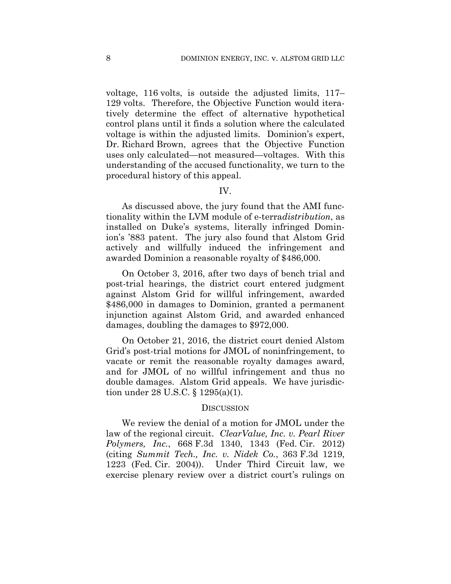voltage, 116 volts, is outside the adjusted limits, 117– 129 volts. Therefore, the Objective Function would iteratively determine the effect of alternative hypothetical control plans until it finds a solution where the calculated voltage is within the adjusted limits. Dominion's expert, Dr. Richard Brown, agrees that the Objective Function uses only calculated—not measured—voltages. With this understanding of the accused functionality, we turn to the procedural history of this appeal.

# IV.

As discussed above, the jury found that the AMI functionality within the LVM module of e-terra*distribution*, as installed on Duke's systems, literally infringed Dominion's '883 patent. The jury also found that Alstom Grid actively and willfully induced the infringement and awarded Dominion a reasonable royalty of \$486,000.

On October 3, 2016, after two days of bench trial and post-trial hearings, the district court entered judgment against Alstom Grid for willful infringement, awarded \$486,000 in damages to Dominion, granted a permanent injunction against Alstom Grid, and awarded enhanced damages, doubling the damages to \$972,000.

On October 21, 2016, the district court denied Alstom Grid's post-trial motions for JMOL of noninfringement, to vacate or remit the reasonable royalty damages award, and for JMOL of no willful infringement and thus no double damages. Alstom Grid appeals. We have jurisdiction under 28 U.S.C. § 1295(a)(1).

#### DISCUSSION

We review the denial of a motion for JMOL under the law of the regional circuit. *ClearValue, Inc. v. Pearl River Polymers, Inc.*, 668 F.3d 1340, 1343 (Fed. Cir. 2012) (citing *Summit Tech., Inc. v. Nidek Co.*, 363 F.3d 1219, 1223 (Fed. Cir. 2004)). Under Third Circuit law, we exercise plenary review over a district court's rulings on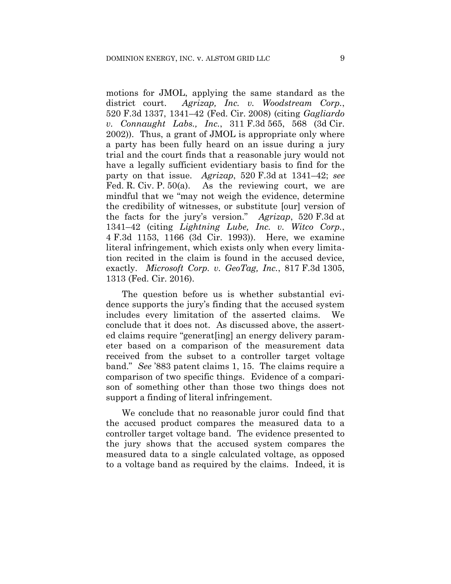motions for JMOL, applying the same standard as the district court. *Agrizap, Inc. v. Woodstream Corp.*, 520 F.3d 1337, 1341–42 (Fed. Cir. 2008) (citing *Gagliardo v. Connaught Labs., Inc.*, 311 F.3d 565, 568 (3d Cir. 2002)). Thus, a grant of JMOL is appropriate only where a party has been fully heard on an issue during a jury trial and the court finds that a reasonable jury would not have a legally sufficient evidentiary basis to find for the party on that issue. *Agrizap*, 520 F.3d at 1341–42; *see* Fed. R. Civ. P. 50(a). As the reviewing court, we are mindful that we "may not weigh the evidence, determine the credibility of witnesses, or substitute [our] version of the facts for the jury's version." *Agrizap*, 520 F.3d at 1341–42 (citing *Lightning Lube, Inc. v. Witco Corp.*, 4 F.3d 1153, 1166 (3d Cir. 1993)). Here, we examine literal infringement, which exists only when every limitation recited in the claim is found in the accused device, exactly. *Microsoft Corp. v. GeoTag, Inc.*, 817 F.3d 1305, 1313 (Fed. Cir. 2016).

The question before us is whether substantial evidence supports the jury's finding that the accused system includes every limitation of the asserted claims. We conclude that it does not. As discussed above, the asserted claims require "generat[ing] an energy delivery parameter based on a comparison of the measurement data received from the subset to a controller target voltage band." *See* '883 patent claims 1, 15. The claims require a comparison of two specific things. Evidence of a comparison of something other than those two things does not support a finding of literal infringement.

We conclude that no reasonable juror could find that the accused product compares the measured data to a controller target voltage band. The evidence presented to the jury shows that the accused system compares the measured data to a single calculated voltage, as opposed to a voltage band as required by the claims. Indeed, it is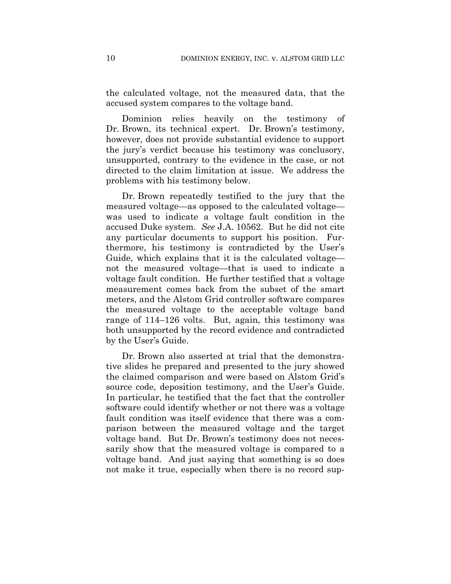the calculated voltage, not the measured data, that the accused system compares to the voltage band.

Dominion relies heavily on the testimony of Dr. Brown, its technical expert. Dr. Brown's testimony, however, does not provide substantial evidence to support the jury's verdict because his testimony was conclusory, unsupported, contrary to the evidence in the case, or not directed to the claim limitation at issue. We address the problems with his testimony below.

Dr. Brown repeatedly testified to the jury that the measured voltage—as opposed to the calculated voltage was used to indicate a voltage fault condition in the accused Duke system. *See* J.A. 10562.But he did not cite any particular documents to support his position. Furthermore, his testimony is contradicted by the User's Guide, which explains that it is the calculated voltage not the measured voltage—that is used to indicate a voltage fault condition. He further testified that a voltage measurement comes back from the subset of the smart meters, and the Alstom Grid controller software compares the measured voltage to the acceptable voltage band range of 114–126 volts. But, again, this testimony was both unsupported by the record evidence and contradicted by the User's Guide.

Dr. Brown also asserted at trial that the demonstrative slides he prepared and presented to the jury showed the claimed comparison and were based on Alstom Grid's source code, deposition testimony, and the User's Guide. In particular, he testified that the fact that the controller software could identify whether or not there was a voltage fault condition was itself evidence that there was a comparison between the measured voltage and the target voltage band. But Dr. Brown's testimony does not necessarily show that the measured voltage is compared to a voltage band. And just saying that something is so does not make it true, especially when there is no record sup-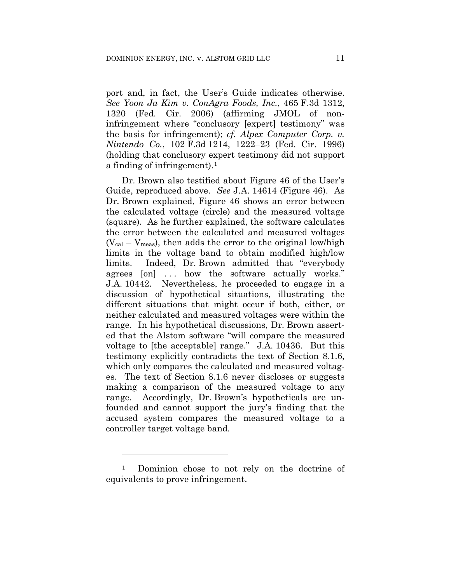port and, in fact, the User's Guide indicates otherwise. *See Yoon Ja Kim v. ConAgra Foods, Inc.*, 465 F.3d 1312, 1320 (Fed. Cir. 2006) (affirming JMOL of noninfringement where "conclusory [expert] testimony" was the basis for infringement); *cf. Alpex Computer Corp. v. Nintendo Co.*, 102 F.3d 1214, 1222–23 (Fed. Cir. 1996) (holding that conclusory expert testimony did not support a finding of infringement).<sup>1</sup>

Dr. Brown also testified about Figure 46 of the User's Guide, reproduced above. *See* J.A. 14614 (Figure 46). As Dr. Brown explained, Figure 46 shows an error between the calculated voltage (circle) and the measured voltage (square). As he further explained, the software calculates the error between the calculated and measured voltages  $(V_{cal} - V_{meas})$ , then adds the error to the original low/high limits in the voltage band to obtain modified high/low limits. Indeed, Dr. Brown admitted that "everybody agrees [on] ... how the software actually works." J.A. 10442. Nevertheless, he proceeded to engage in a discussion of hypothetical situations, illustrating the different situations that might occur if both, either, or neither calculated and measured voltages were within the range. In his hypothetical discussions, Dr. Brown asserted that the Alstom software "will compare the measured voltage to [the acceptable] range." J.A. 10436. But this testimony explicitly contradicts the text of Section 8.1.6, which only compares the calculated and measured voltages. The text of Section 8.1.6 never discloses or suggests making a comparison of the measured voltage to any range. Accordingly, Dr. Brown's hypotheticals are unfounded and cannot support the jury's finding that the accused system compares the measured voltage to a controller target voltage band.

1

<sup>1</sup> Dominion chose to not rely on the doctrine of equivalents to prove infringement.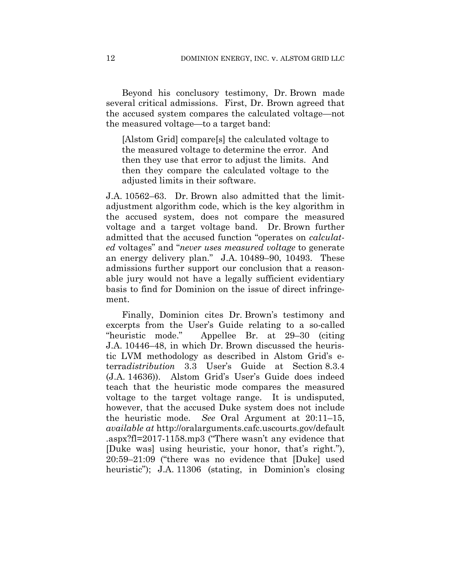Beyond his conclusory testimony, Dr. Brown made several critical admissions. First, Dr. Brown agreed that the accused system compares the calculated voltage—not the measured voltage—to a target band:

[Alstom Grid] compare[s] the calculated voltage to the measured voltage to determine the error. And then they use that error to adjust the limits. And then they compare the calculated voltage to the adjusted limits in their software.

J.A. 10562–63. Dr. Brown also admitted that the limitadjustment algorithm code, which is the key algorithm in the accused system, does not compare the measured voltage and a target voltage band. Dr. Brown further admitted that the accused function "operates on *calculated* voltages" and "*never uses measured voltage* to generate an energy delivery plan." J.A. 10489–90, 10493. These admissions further support our conclusion that a reasonable jury would not have a legally sufficient evidentiary basis to find for Dominion on the issue of direct infringement.

Finally, Dominion cites Dr. Brown's testimony and excerpts from the User's Guide relating to a so-called "heuristic mode." Appellee Br. at 29–30 (citing J.A. 10446–48, in which Dr. Brown discussed the heuristic LVM methodology as described in Alstom Grid's eterra*distribution* 3.3 User's Guide at Section 8.3.4 (J.A. 14636)). Alstom Grid's User's Guide does indeed teach that the heuristic mode compares the measured voltage to the target voltage range. It is undisputed, however, that the accused Duke system does not include the heuristic mode. *See* Oral Argument at 20:11–15, *available at* http://oralarguments.cafc.uscourts.gov/default .aspx?fl=2017-1158.mp3 ("There wasn't any evidence that [Duke was] using heuristic, your honor, that's right."), 20:59–21:09 ("there was no evidence that [Duke] used heuristic"); J.A. 11306 (stating, in Dominion's closing